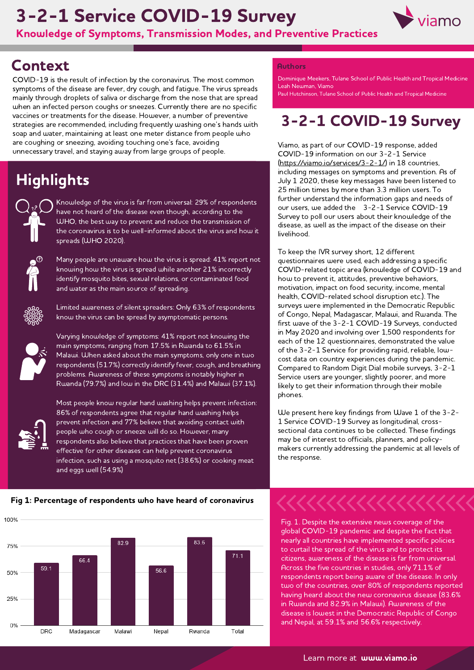# 3-2-1 Service COVID-19 Survey



Knowledge of Symptoms, Transmission Modes, and Preventive Practices

### **Context**

COVID-19 is the result of infection by the coronavirus. The most common symptoms of the disease are fever, dry cough, and fatigue. The virus spreads mainly through droplets of saliva or discharge from the nose that are spread when an infected person coughs or sneezes. Currently there are no specific vaccines or treatments for the disease. However, <sup>a</sup> number of preventive strategies are recommended, including frequently washing one's hands with soap and water, maintaining at least one meter distance from people who are coughing or sneezing, avoiding touching one's face, avoiding unnecessary travel, and staying away from large groups of people.

## **Highlights**



Knowledge of the virus is far from universal: 29% of respondents have not heard of the disease even though, according to the WHO, the best way to prevent and reduce the transmission of the coronavirus is to be well-informed about the virus and how it spreads (WHO 2020).



Many people are unaware how the virus is spread: 41% report not knowing how the virus is spread while another 21% incorrectly identify mosquito bites, sexual relations, or contaminated food and water as the main source of spreading.



Limited awareness of silent spreaders: Only 63% of respondents know the virus can be spread by asymptomatic persons.



Varying knowledge of symptoms: 41% report not knowing the main symptoms, ranging from 17.5% in Rwanda to 61.5% in Malawi. When asked about the main symptoms, only one in two respondents (51.7%) correctly identify fever, cough, and breathing problems. Awareness of these symptoms is notably higher in Rwanda (79.7%) and low in the DRC (31.4%) and Malawi (37.1%).



Most people know regular hand washing helps prevent infection: 86% of respondents agree that regular hand washing helps prevent infection and 77% believe that avoiding contact with people who cough or sneeze will do so. However, many respondents also believe that practices that have been proven effective for other diseases can help prevent coronavirus infection, such as using <sup>a</sup> mosquito net (38.6%) or cooking meat and eggs well (54.9%)

#### Fig 1: Percentage of respondents who have heard of coronavirus



#### **Authors**

Leah Newman, Viamo Dominique Meekers, Tulane School of Public Health and Tropical Medicine

Paul Hutchinson, Tulane School of Public Health and Tropical Medicine

### 3-2-1 COVID-19 Survey

Viamo, as part of our COVID-19 response, added COVID-19 information on our 3-2-1 Service (<https://viamo.io/services/3-2-1/>) in <sup>18</sup> countries, including messages on symptoms and prevention. As of July <sup>1</sup> 2020, these key messages have been listened to 25 million times by more than 3.3 million users. To further understand the information gaps and needs of our users, we added the 3-2-1 Service COVID-19 Survey to poll our users about their knowledge of the disease, as well as the impact of the disease on their livelihood.

To keep the IVR survey short, 12 different questionnaires were used, each addressing <sup>a</sup> specific COVID-related topic area (knowledge of COVID-19 and how to prevent it, attitudes, preventive behaviors, motivation, impact on food security, income, mental health, COVID-related school disruption etc.). The surveys were implemented in the Democratic Republic of Congo, Nepal, Madagascar, Malawi, and Rwanda. The first wave of the 3-2-1 COVID-19 Surveys, conducted in May <sup>2020</sup> and involving over 1,500 respondents for each of the 12 questionnaires, demonstrated the value of the 3-2-1 Service for providing rapid, reliable, lowcost data on country experiences during the pandemic. Compared to Random Digit Dial mobile surveys, 3-2-1 Service users are younger, slightly poorer, and more likely to get their information through their mobile phones.

We present here key findings from Wave <sup>1</sup> of the 3-2 we present here key midings nom wave 1 or the<br>1 Service COVID-19 Survey as longitudinal, crosssectional data continues to be collected. These findings may be of interest to officials, planners, and policymakers currently addressing the pandemic at all levels of the response.

Fig. 1. Despite the extensive news coverage of the global COVID-19 pandemic and despite the fact that nearly all countries have implemented specific policies to curtail the spread of the virus and to protect its citizens, awareness of the disease is far from universal. Across the five countries in studies, only 71.1% of respondents report being aware of the disease. In only two of the countries, over 80% of respondents reported having heard about the new coronavirus disease (83.6% in Rwanda and 82.9% in Malawi). Awareness of the disease is lowest in the Democratic Republic of Congo and Nepal, at 59.1% and 56.6% respectively.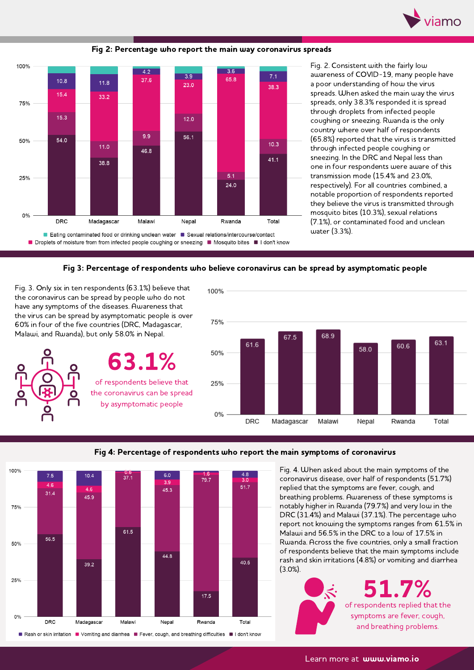



Fig 2: Percentage who report the main way coronavirus spreads

Fig. 2. Consistent with the fairly low awareness of COVID-19, many people have <sup>a</sup> poor understanding of how the virus spreads. When asked the main way the virus spreads, only 38.3% responded it is spread through droplets from infected people coughing or sneezing. Rwanda is the only country where over half of respondents (65.8%) reported that the virus is transmitted through infected people coughing or sneezing. In the DRC and Nepal less than one in four respondents were aware of this transmission mode (15.4% and 23.0%, respectively). For all countries combined, <sup>a</sup> notable proportion of respondents reported they believe the virus is transmitted through mosquito bites (10.3%), sexual relations (7.1%), or contaminated food and unclean water (3.3%).



Fig. 3. Only six in ten respondents (63.1%) believe that the coronavirus can be spread by people who do not have any symptoms of the diseases. Awareness that the virus can be spread by asymptomatic people is over 60% in four of the five countries (DRC, Madagascar, Malawi, and Rwanda), but only 58.0% in Nepal.

63.1% of respondents believe that the coronavirus can be spread by asymptomatic people







Fig. 4. When asked about the main symptoms of the coronavirus disease, over half of respondents (51.7%) replied that the symptoms are fever, cough, and breathing problems. Awareness of these symptoms is notably higher in Rwanda (79.7%) and very low in the DRC (31.4%) and Malawi (37.1%). The percentage who report not knowing the symptoms ranges from 61.5% in Malawi and 56.5% in the DRC to <sup>a</sup> low of 17.5% in Rwanda. Across the five countries, only <sup>a</sup> small fraction of respondents believe that the main symptoms include rash and skin irritations (4.8%) or vomiting and diarrhea (3.0%).



of respondents replied that the symptoms are fever, cough, and breathing problems. 51.7%